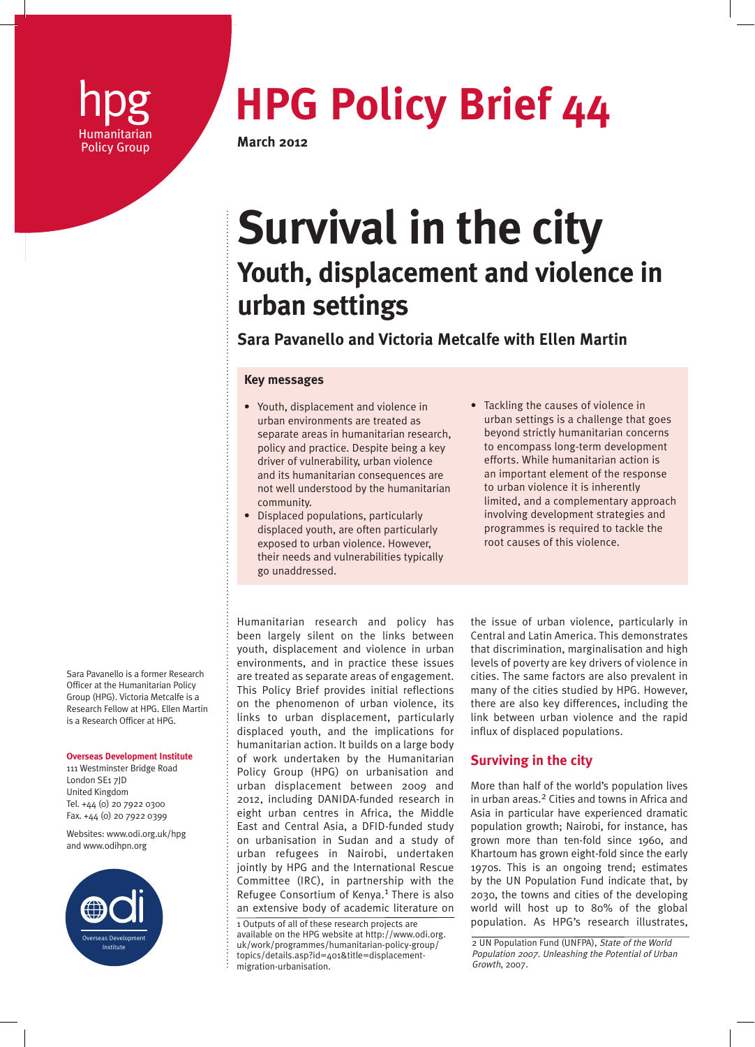

# **hpg <b>HPG Policy Brief 44** Humanitarian

# **Survival in the city Youth, displacement and violence in urban settings**

**Sara Pavanello and Victoria Metcalfe with Ellen Martin**

### **Key messages**

- Youth, displacement and violence in urban environments are treated as separate areas in humanitarian research, policy and practice. Despite being a key driver of vulnerability, urban violence and its humanitarian consequences are not well understood by the humanitarian community.
- Displaced populations, particularly displaced youth, are often particularly exposed to urban violence. However, their needs and vulnerabilities typically go unaddressed.
- Tackling the causes of violence in urban settings is a challenge that goes beyond strictly humanitarian concerns to encompass long-term development efforts. While humanitarian action is an important element of the response to urban violence it is inherently limited, and a complementary approach involving development strategies and programmes is required to tackle the root causes of this violence.

Humanitarian research and policy has been largely silent on the links between youth, displacement and violence in urban environments, and in practice these issues are treated as separate areas of engagement. This Policy Brief provides initial reflections on the phenomenon of urban violence, its links to urban displacement, particularly displaced youth, and the implications for humanitarian action. It builds on a large body of work undertaken by the Humanitarian Policy Group (HPG) on urbanisation and urban displacement between 2009 and 2012, including DANIDA-funded research in eight urban centres in Africa, the Middle East and Central Asia, a DFID-funded study on urbanisation in Sudan and a study of urban refugees in Nairobi, undertaken jointly by HPG and the International Rescue Committee (IRC), in partnership with the Refugee Consortium of Kenya.<sup>1</sup> There is also an extensive body of academic literature on

1 Outputs of all of these research projects are available on the HPG website at http://www.odi.org. uk/work/programmes/humanitarian-policy-group/ topics/details.asp?id=401&title=displacementmigration-urbanisation.

the issue of urban violence, particularly in Central and Latin America. This demonstrates that discrimination, marginalisation and high levels of poverty are key drivers of violence in cities. The same factors are also prevalent in many of the cities studied by HPG. However, there are also key differences, including the link between urban violence and the rapid influx of displaced populations.

# **Surviving in the city**

More than half of the world's population lives in urban areas.<sup>2</sup> Cities and towns in Africa and Asia in particular have experienced dramatic population growth; Nairobi, for instance, has grown more than ten-fold since 1960, and Khartoum has grown eight-fold since the early 1970s. This is an ongoing trend; estimates by the UN Population Fund indicate that, by 2030, the towns and cities of the developing world will host up to 80% of the global population. As HPG's research illustrates,

2 UN Population Fund (UNFPA), State of the World Population 2007. Unleashing the Potential of Urban Growth, 2007.

Sara Pavanello is a former Research Officer at the Humanitarian Policy Group (HPG). Victoria Metcalfe is a Research Fellow at HPG. Ellen Martin is a Research Officer at HPG.

#### **Overseas Development Institute**

111 Westminster Bridge Road London SE1 7JD United Kingdom Tel. +44 (0) 20 7922 0300 Fax. +44 (0) 20 7922 0399

Websites: www.odi.org.uk/hpg and www.odihpn.org

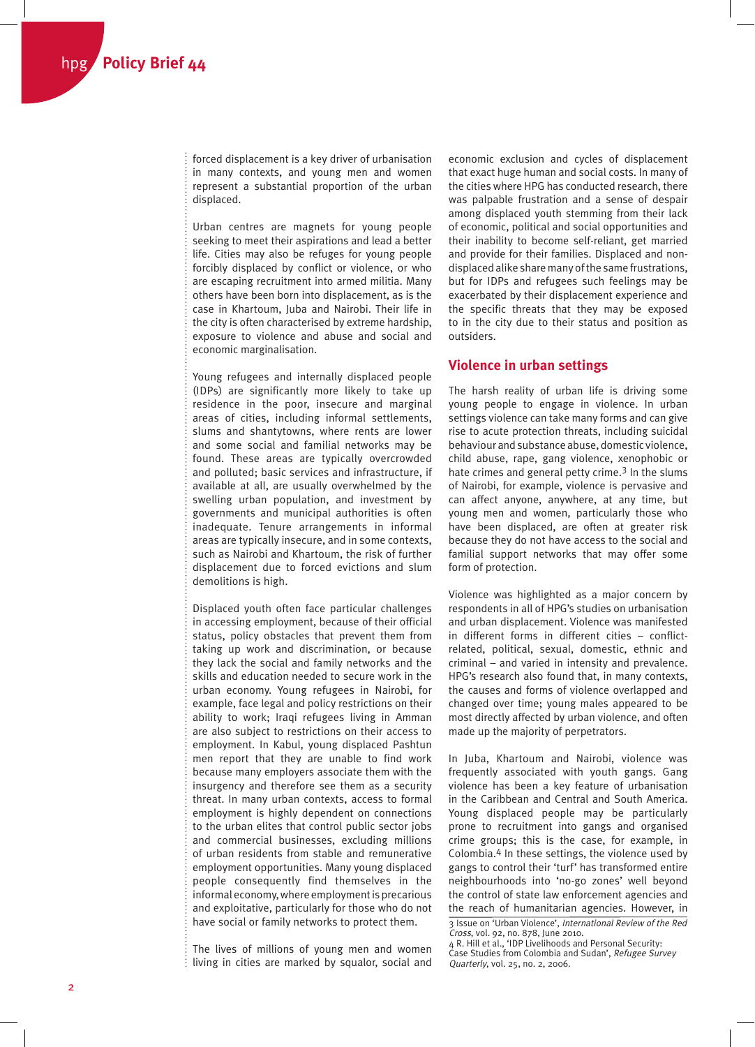forced displacement is a key driver of urbanisation in many contexts, and young men and women represent a substantial proportion of the urban displaced.

Urban centres are magnets for young people seeking to meet their aspirations and lead a better life. Cities may also be refuges for young people forcibly displaced by conflict or violence, or who are escaping recruitment into armed militia. Many others have been born into displacement, as is the case in Khartoum, Juba and Nairobi. Their life in the city is often characterised by extreme hardship, exposure to violence and abuse and social and economic marginalisation.

Young refugees and internally displaced people (IDPs) are significantly more likely to take up residence in the poor, insecure and marginal areas of cities, including informal settlements, slums and shantytowns, where rents are lower and some social and familial networks may be found. These areas are typically overcrowded and polluted; basic services and infrastructure, if available at all, are usually overwhelmed by the swelling urban population, and investment by governments and municipal authorities is often inadequate. Tenure arrangements in informal areas are typically insecure, and in some contexts, such as Nairobi and Khartoum, the risk of further displacement due to forced evictions and slum demolitions is high.

Displaced youth often face particular challenges in accessing employment, because of their official status, policy obstacles that prevent them from taking up work and discrimination, or because they lack the social and family networks and the skills and education needed to secure work in the urban economy. Young refugees in Nairobi, for example, face legal and policy restrictions on their ability to work; Iraqi refugees living in Amman are also subject to restrictions on their access to employment. In Kabul, young displaced Pashtun men report that they are unable to find work because many employers associate them with the insurgency and therefore see them as a security threat. In many urban contexts, access to formal employment is highly dependent on connections to the urban elites that control public sector jobs and commercial businesses, excluding millions of urban residents from stable and remunerative employment opportunities. Many young displaced people consequently find themselves in the informal economy, where employment is precarious and exploitative, particularly for those who do not have social or family networks to protect them.

The lives of millions of young men and women living in cities are marked by squalor, social and economic exclusion and cycles of displacement that exact huge human and social costs. In many of the cities where HPG has conducted research, there was palpable frustration and a sense of despair among displaced youth stemming from their lack of economic, political and social opportunities and their inability to become self-reliant, get married and provide for their families. Displaced and nondisplaced alike share many of the same frustrations, but for IDPs and refugees such feelings may be exacerbated by their displacement experience and the specific threats that they may be exposed to in the city due to their status and position as outsiders.

## **Violence in urban settings**

The harsh reality of urban life is driving some young people to engage in violence. In urban settings violence can take many forms and can give rise to acute protection threats, including suicidal behaviour and substance abuse, domestic violence, child abuse, rape, gang violence, xenophobic or hate crimes and general petty crime.<sup>3</sup> In the slums of Nairobi, for example, violence is pervasive and can affect anyone, anywhere, at any time, but young men and women, particularly those who have been displaced, are often at greater risk because they do not have access to the social and familial support networks that may offer some form of protection.

Violence was highlighted as a major concern by respondents in all of HPG's studies on urbanisation and urban displacement. Violence was manifested in different forms in different cities – conflictrelated, political, sexual, domestic, ethnic and criminal – and varied in intensity and prevalence. HPG's research also found that, in many contexts, the causes and forms of violence overlapped and changed over time; young males appeared to be most directly affected by urban violence, and often made up the majority of perpetrators.

In Juba, Khartoum and Nairobi, violence was frequently associated with youth gangs. Gang violence has been a key feature of urbanisation in the Caribbean and Central and South America. Young displaced people may be particularly prone to recruitment into gangs and organised crime groups; this is the case, for example, in Colombia.4 In these settings, the violence used by gangs to control their 'turf' has transformed entire neighbourhoods into 'no-go zones' well beyond the control of state law enforcement agencies and the reach of humanitarian agencies. However, in 3 Issue on 'Urban Violence', International Review of the Red Cross, vol. 92, no. 878, June 2010.

<sup>4</sup> R. Hill et al., 'IDP Livelihoods and Personal Security: Case Studies from Colombia and Sudan', Refugee Survey Quarterly, vol. 25, no. 2, 2006.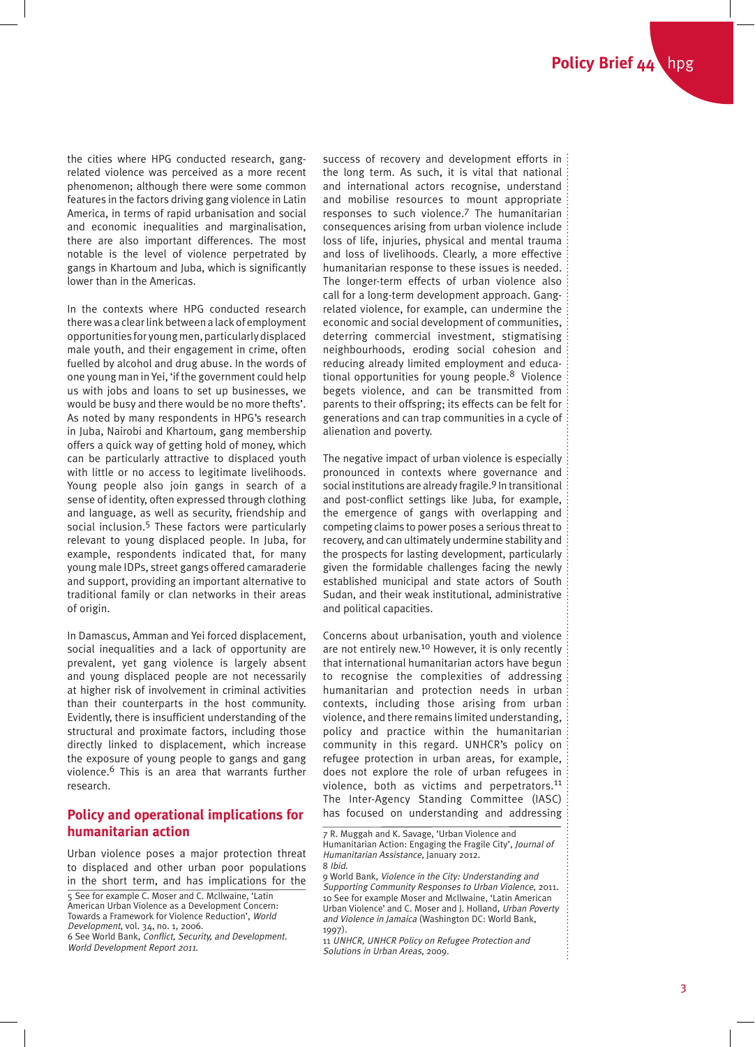the cities where HPG conducted research, gangrelated violence was perceived as a more recent phenomenon; although there were some common features in the factors driving gang violence in Latin America, in terms of rapid urbanisation and social and economic inequalities and marginalisation, there are also important differences. The most notable is the level of violence perpetrated by gangs in Khartoum and Juba, which is significantly lower than in the Americas.

In the contexts where HPG conducted research there was a clear link between a lack of employment opportunities for young men, particularly displaced male youth, and their engagement in crime, often fuelled by alcohol and drug abuse. In the words of one young man in Yei, 'if the government could help us with jobs and loans to set up businesses, we would be busy and there would be no more thefts'. As noted by many respondents in HPG's research in Juba, Nairobi and Khartoum, gang membership offers a quick way of getting hold of money, which can be particularly attractive to displaced youth with little or no access to legitimate livelihoods. Young people also join gangs in search of a sense of identity, often expressed through clothing and language, as well as security, friendship and social inclusion.5 These factors were particularly relevant to young displaced people. In Juba, for example, respondents indicated that, for many young male IDPs, street gangs offered camaraderie and support, providing an important alternative to traditional family or clan networks in their areas of origin.

In Damascus, Amman and Yei forced displacement, social inequalities and a lack of opportunity are prevalent, yet gang violence is largely absent and young displaced people are not necessarily at higher risk of involvement in criminal activities than their counterparts in the host community. Evidently, there is insufficient understanding of the structural and proximate factors, including those directly linked to displacement, which increase the exposure of young people to gangs and gang violence.6 This is an area that warrants further research.

# **Policy and operational implications for humanitarian action**

Urban violence poses a major protection threat to displaced and other urban poor populations in the short term, and has implications for the

success of recovery and development efforts in : the long term. As such, it is vital that national and international actors recognise, understand and mobilise resources to mount appropriate responses to such violence.7 The humanitarian consequences arising from urban violence include loss of life, injuries, physical and mental trauma and loss of livelihoods. Clearly, a more effective humanitarian response to these issues is needed. The longer-term effects of urban violence also call for a long-term development approach. Gangrelated violence, for example, can undermine the economic and social development of communities, deterring commercial investment, stigmatising neighbourhoods, eroding social cohesion and reducing already limited employment and educational opportunities for young people.<sup>8</sup> Violence begets violence, and can be transmitted from parents to their offspring; its effects can be felt for generations and can trap communities in a cycle of alienation and poverty.

The negative impact of urban violence is especially pronounced in contexts where governance and social institutions are already fragile.9 In transitional and post-conflict settings like Juba, for example, the emergence of gangs with overlapping and competing claims to power poses a serious threat to recovery, and can ultimately undermine stability and the prospects for lasting development, particularly given the formidable challenges facing the newly established municipal and state actors of South Sudan, and their weak institutional, administrative and political capacities.

Concerns about urbanisation, youth and violence are not entirely new.<sup>10</sup> However, it is only recently that international humanitarian actors have begun to recognise the complexities of addressing humanitarian and protection needs in urban contexts, including those arising from urban violence, and there remains limited understanding, policy and practice within the humanitarian community in this regard. UNHCR's policy on refugee protection in urban areas, for example, does not explore the role of urban refugees in violence, both as victims and perpetrators.<sup>11</sup> The Inter-Agency Standing Committee (IASC) has focused on understanding and addressing

7 R. Muggah and K. Savage, 'Urban Violence and Humanitarian Action: Engaging the Fragile City', Journal of Humanitarian Assistance, January 2012. 8 Ibid.

9 World Bank, Violence in the City: Understanding and Supporting Community Responses to Urban Violence, 2011. 10 See for example Moser and Mcllwaine, 'Latin American Urban Violence' and C. Moser and J. Holland, Urban Poverty and Violence in Jamaica (Washington DC: World Bank, 1997).

11 UNHCR, UNHCR Policy on Refugee Protection and Solutions in Urban Areas, 2009.

 $\vdots$ 

<sup>5</sup> See for example C. Moser and C. Mcllwaine, 'Latin American Urban Violence as a Development Concern: Towards a Framework for Violence Reduction', World Development, vol. 34, no. 1, 2006. 6 See World Bank, Conflict, Security, and Development.

World Development Report 2011.